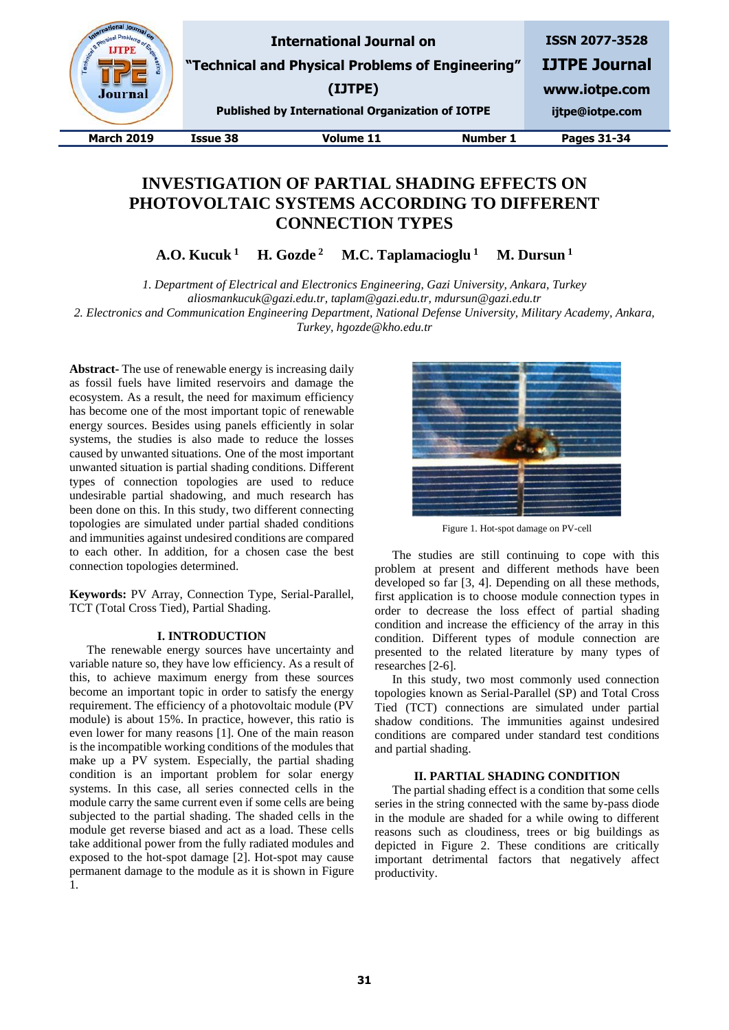

# **INVESTIGATION OF PARTIAL SHADING EFFECTS ON PHOTOVOLTAIC SYSTEMS ACCORDING TO DIFFERENT CONNECTION TYPES**

**A.O. Kucuk <sup>1</sup> H. Gozde <sup>2</sup> M.C. Taplamacioglu <sup>1</sup> M. Dursun <sup>1</sup>**

*1. Department of Electrical and Electronics Engineering, Gazi University, Ankara, Turkey*

*aliosmankucuk@gazi.edu.tr, taplam@gazi.edu.tr, mdursun@gazi.edu.tr*

*2. Electronics and Communication Engineering Department, National Defense University, Military Academy, Ankara, Turkey, hgozde@kho.edu.tr*

**Abstract-** The use of renewable energy is increasing daily as fossil fuels have limited reservoirs and damage the ecosystem. As a result, the need for maximum efficiency has become one of the most important topic of renewable energy sources. Besides using panels efficiently in solar systems, the studies is also made to reduce the losses caused by unwanted situations. One of the most important unwanted situation is partial shading conditions. Different types of connection topologies are used to reduce undesirable partial shadowing, and much research has been done on this. In this study, two different connecting topologies are simulated under partial shaded conditions and immunities against undesired conditions are compared to each other. In addition, for a chosen case the best connection topologies determined.

**Keywords:** PV Array, Connection Type, Serial-Parallel, TCT (Total Cross Tied), Partial Shading.

# **I. INTRODUCTION**

The renewable energy sources have uncertainty and variable nature so, they have low efficiency. As a result of this, to achieve maximum energy from these sources become an important topic in order to satisfy the energy requirement. The efficiency of a photovoltaic module (PV module) is about 15%. In practice, however, this ratio is even lower for many reasons [1]. One of the main reason is the incompatible working conditions of the modules that make up a PV system. Especially, the partial shading condition is an important problem for solar energy systems. In this case, all series connected cells in the module carry the same current even if some cells are being subjected to the partial shading. The shaded cells in the module get reverse biased and act as a load. These cells take additional power from the fully radiated modules and exposed to the hot-spot damage [2]. Hot-spot may cause permanent damage to the module as it is shown in Figure 1.



Figure 1. Hot-spot damage on PV-cell

The studies are still continuing to cope with this problem at present and different methods have been developed so far [3, 4]. Depending on all these methods, first application is to choose module connection types in order to decrease the loss effect of partial shading condition and increase the efficiency of the array in this condition. Different types of module connection are presented to the related literature by many types of researches [2-6].

In this study, two most commonly used connection topologies known as Serial-Parallel (SP) and Total Cross Tied (TCT) connections are simulated under partial shadow conditions. The immunities against undesired conditions are compared under standard test conditions and partial shading.

#### **II. PARTIAL SHADING CONDITION**

The partial shading effect is a condition that some cells series in the string connected with the same by-pass diode in the module are shaded for a while owing to different reasons such as cloudiness, trees or big buildings as depicted in Figure 2. These conditions are critically important detrimental factors that negatively affect productivity.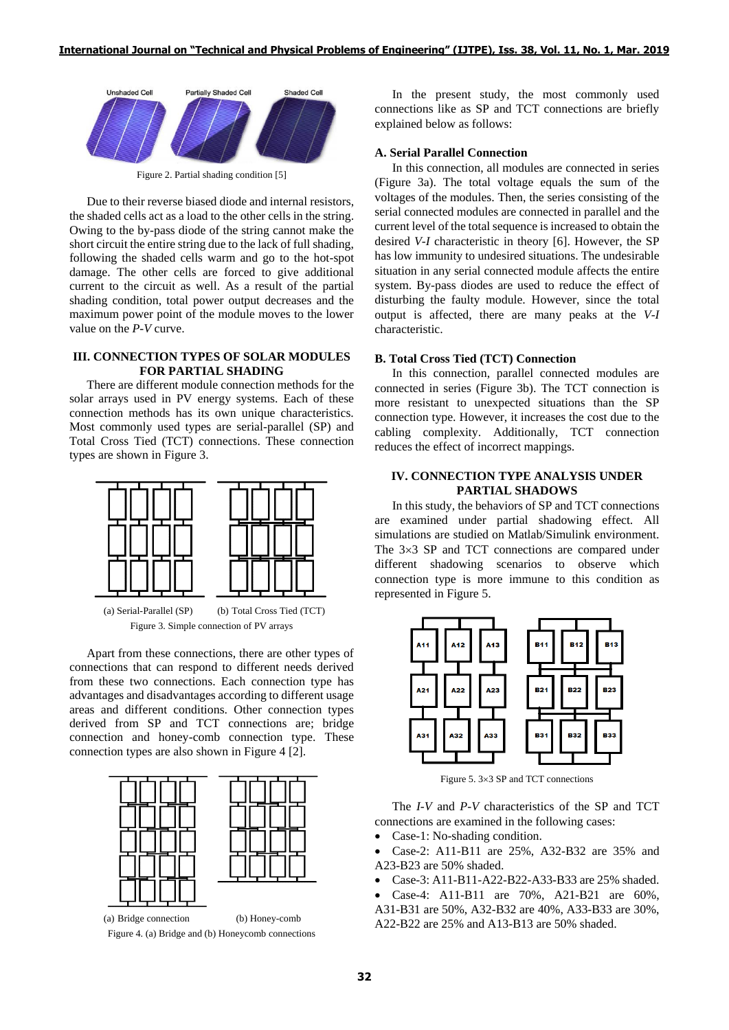

Figure 2. Partial shading condition [5]

Due to their reverse biased diode and internal resistors, the shaded cells act as a load to the other cells in the string. Owing to the by-pass diode of the string cannot make the short circuit the entire string due to the lack of full shading, following the shaded cells warm and go to the hot-spot damage. The other cells are forced to give additional current to the circuit as well. As a result of the partial shading condition, total power output decreases and the maximum power point of the module moves to the lower value on the *P*-*V* curve.

### **III. CONNECTION TYPES OF SOLAR MODULES FOR PARTIAL SHADING**

There are different module connection methods for the solar arrays used in PV energy systems. Each of these connection methods has its own unique characteristics. Most commonly used types are serial-parallel (SP) and Total Cross Tied (TCT) connections. These connection types are shown in Figure 3.



Apart from these connections, there are other types of connections that can respond to different needs derived from these two connections. Each connection type has advantages and disadvantages according to different usage areas and different conditions. Other connection types derived from SP and TCT connections are; bridge connection and honey-comb connection type. These connection types are also shown in Figure 4 [2].



Figure 4. (a) Bridge and (b) Honeycomb connections

In the present study, the most commonly used connections like as SP and TCT connections are briefly explained below as follows:

# **A. Serial Parallel Connection**

In this connection, all modules are connected in series (Figure 3a). The total voltage equals the sum of the voltages of the modules. Then, the series consisting of the serial connected modules are connected in parallel and the current level of the total sequence is increased to obtain the desired *V*-*I* characteristic in theory [6]. However, the SP has low immunity to undesired situations. The undesirable situation in any serial connected module affects the entire system. By-pass diodes are used to reduce the effect of disturbing the faulty module. However, since the total output is affected, there are many peaks at the *V*-*I* characteristic.

## **B. Total Cross Tied (TCT) Connection**

In this connection, parallel connected modules are connected in series (Figure 3b). The TCT connection is more resistant to unexpected situations than the SP connection type. However, it increases the cost due to the cabling complexity. Additionally, TCT connection reduces the effect of incorrect mappings.

# **IV. CONNECTION TYPE ANALYSIS UNDER PARTIAL SHADOWS**

In this study, the behaviors of SP and TCT connections are examined under partial shadowing effect. All simulations are studied on Matlab/Simulink environment. The  $3\times3$  SP and TCT connections are compared under different shadowing scenarios to observe which connection type is more immune to this condition as represented in Figure 5.



Figure 5.  $3\times3$  SP and TCT connections

The *I*-*V* and *P*-*V* characteristics of the SP and TCT connections are examined in the following cases:

- Case-1: No-shading condition.
- Case-2: A11-B11 are 25%, A32-B32 are 35% and A23-B23 are 50% shaded.
- Case-3: A11-B11-A22-B22-A33-B33 are 25% shaded.
- Case-4: A11-B11 are 70%, A21-B21 are 60%,
- A31-B31 are 50%, A32-B32 are 40%, A33-B33 are 30%, A22-B22 are 25% and A13-B13 are 50% shaded.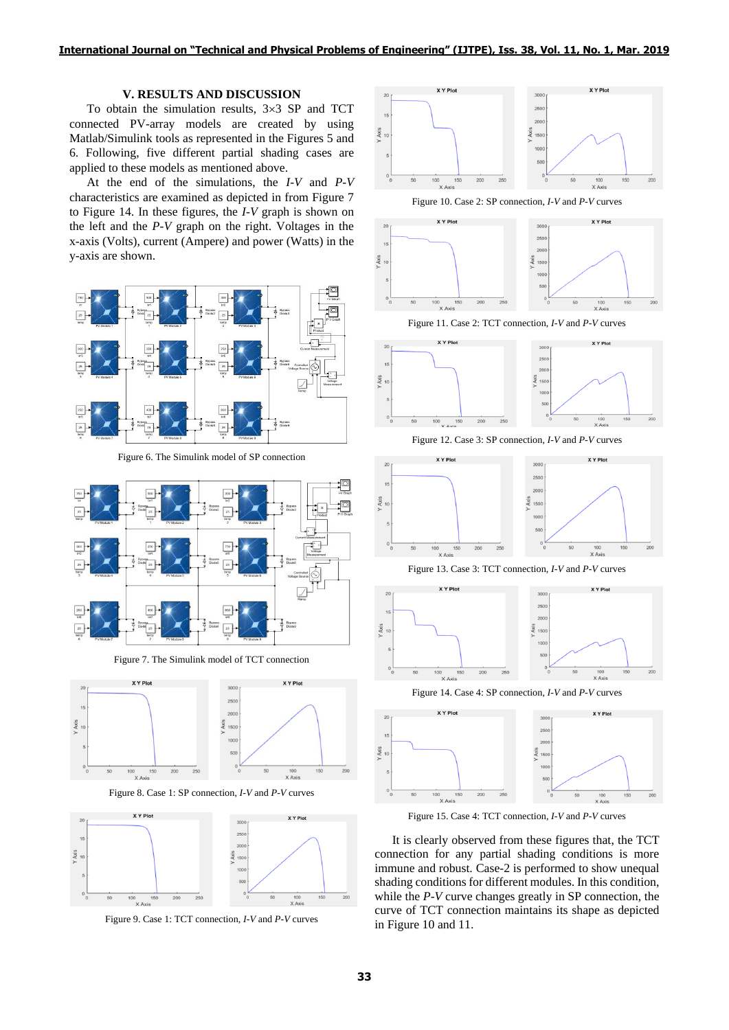# **V. RESULTS AND DISCUSSION**

To obtain the simulation results,  $3\times3$  SP and TCT connected PV-array models are created by using Matlab/Simulink tools as represented in the Figures 5 and 6. Following, five different partial shading cases are applied to these models as mentioned above.

At the end of the simulations, the *I*-*V* and *P*-*V* characteristics are examined as depicted in from Figure 7 to Figure 14. In these figures, the *I*-*V* graph is shown on the left and the *P*-*V* graph on the right. Voltages in the x-axis (Volts), current (Ampere) and power (Watts) in the y-axis are shown.



Figure 6. The Simulink model of SP connection



Figure 7. The Simulink model of TCT connection



Figure 8. Case 1: SP connection, *I*-*V* and *P*-*V* curves



Figure 9. Case 1: TCT connection, *I*-*V* and *P*-*V* curves



Figure 10. Case 2: SP connection, *I*-*V* and *P*-*V* curves



Figure 11. Case 2: TCT connection, *I*-*V* and *P*-*V* curves



Figure 12. Case 3: SP connection, *I*-*V* and *P*-*V* curves



Figure 13. Case 3: TCT connection, *I*-*V* and *P*-*V* curves



Figure 14. Case 4: SP connection, *I*-*V* and *P*-*V* curves



Figure 15. Case 4: TCT connection, *I*-*V* and *P*-*V* curves

It is clearly observed from these figures that, the TCT connection for any partial shading conditions is more immune and robust. Case-2 is performed to show unequal shading conditions for different modules. In this condition, while the *P*-*V* curve changes greatly in SP connection, the curve of TCT connection maintains its shape as depicted in Figure 10 and 11.